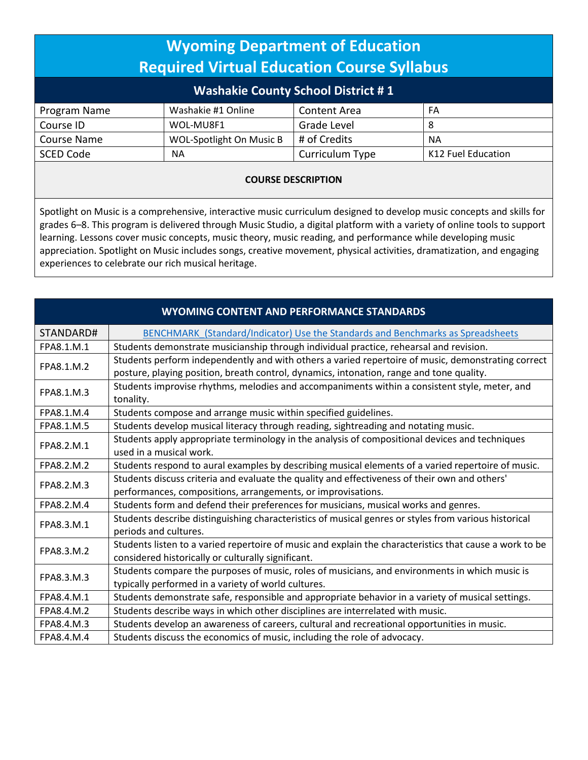| <b>Wyoming Department of Education</b><br><b>Required Virtual Education Course Syllabus</b> |                                 |                     |                    |  |
|---------------------------------------------------------------------------------------------|---------------------------------|---------------------|--------------------|--|
| <b>Washakie County School District #1</b>                                                   |                                 |                     |                    |  |
| Program Name                                                                                | Washakie #1 Online              | <b>Content Area</b> | FA                 |  |
| Course ID                                                                                   | WOL-MU8F1                       | Grade Level         | 8                  |  |
| <b>Course Name</b>                                                                          | <b>WOL-Spotlight On Music B</b> | # of Credits        | NA.                |  |
| <b>SCED Code</b>                                                                            | NА                              | Curriculum Type     | K12 Fuel Education |  |
| <b>COURSE DESCRIPTION</b>                                                                   |                                 |                     |                    |  |

Spotlight on Music is a comprehensive, interactive music curriculum designed to develop music concepts and skills for grades 6–8. This program is delivered through Music Studio, a digital platform with a variety of online tools to support learning. Lessons cover music concepts, music theory, music reading, and performance while developing music appreciation. Spotlight on Music includes songs, creative movement, physical activities, dramatization, and engaging experiences to celebrate our rich musical heritage.

|                                                                                                                                         | WYOMING CONTENT AND PERFORMANCE STANDARDS                                                               |
|-----------------------------------------------------------------------------------------------------------------------------------------|---------------------------------------------------------------------------------------------------------|
| STANDARD#                                                                                                                               | BENCHMARK (Standard/Indicator) Use the Standards and Benchmarks as Spreadsheets                         |
| FPA8.1.M.1                                                                                                                              | Students demonstrate musicianship through individual practice, rehearsal and revision.                  |
| Students perform independently and with others a varied repertoire of music, demonstrating correct<br>FPA8.1.M.2                        |                                                                                                         |
|                                                                                                                                         | posture, playing position, breath control, dynamics, intonation, range and tone quality.                |
| FPA8.1.M.3                                                                                                                              | Students improvise rhythms, melodies and accompaniments within a consistent style, meter, and           |
|                                                                                                                                         | tonality.                                                                                               |
| FPA8.1.M.4                                                                                                                              | Students compose and arrange music within specified guidelines.                                         |
| FPA8.1.M.5                                                                                                                              | Students develop musical literacy through reading, sightreading and notating music.                     |
| Students apply appropriate terminology in the analysis of compositional devices and techniques<br>FPA8.2.M.1<br>used in a musical work. |                                                                                                         |
|                                                                                                                                         |                                                                                                         |
| Students discuss criteria and evaluate the quality and effectiveness of their own and others'<br>FPA8.2.M.3                             |                                                                                                         |
|                                                                                                                                         | performances, compositions, arrangements, or improvisations.                                            |
| FPA8.2.M.4                                                                                                                              | Students form and defend their preferences for musicians, musical works and genres.                     |
| Students describe distinguishing characteristics of musical genres or styles from various historical<br>FPA8.3.M.1                      |                                                                                                         |
|                                                                                                                                         | periods and cultures.                                                                                   |
| FPA8.3.M.2                                                                                                                              | Students listen to a varied repertoire of music and explain the characteristics that cause a work to be |
|                                                                                                                                         | considered historically or culturally significant.                                                      |
| FPA8.3.M.3                                                                                                                              | Students compare the purposes of music, roles of musicians, and environments in which music is          |
|                                                                                                                                         | typically performed in a variety of world cultures.                                                     |
| FPA8.4.M.1                                                                                                                              | Students demonstrate safe, responsible and appropriate behavior in a variety of musical settings.       |
| FPA8.4.M.2                                                                                                                              | Students describe ways in which other disciplines are interrelated with music.                          |
| FPA8.4.M.3                                                                                                                              | Students develop an awareness of careers, cultural and recreational opportunities in music.             |
| FPA8.4.M.4                                                                                                                              | Students discuss the economics of music, including the role of advocacy.                                |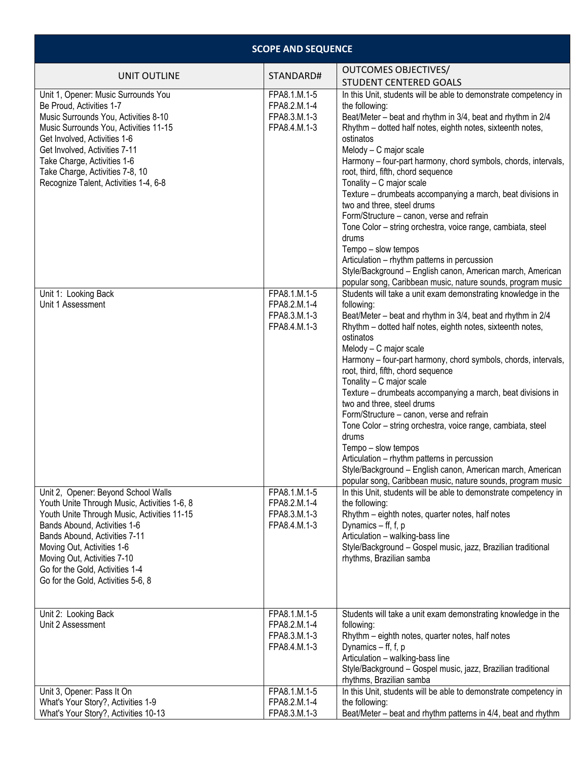|                                                                                                                                                                                                                                                                                                                                           | <b>SCOPE AND SEQUENCE</b>                                    |                                                                                                                                                                                                                                                                                                                                                                                                                                                                                                                                                                                                                                                                                                                                                                                                                  |
|-------------------------------------------------------------------------------------------------------------------------------------------------------------------------------------------------------------------------------------------------------------------------------------------------------------------------------------------|--------------------------------------------------------------|------------------------------------------------------------------------------------------------------------------------------------------------------------------------------------------------------------------------------------------------------------------------------------------------------------------------------------------------------------------------------------------------------------------------------------------------------------------------------------------------------------------------------------------------------------------------------------------------------------------------------------------------------------------------------------------------------------------------------------------------------------------------------------------------------------------|
| UNIT OUTLINE                                                                                                                                                                                                                                                                                                                              | STANDARD#                                                    | <b>OUTCOMES OBJECTIVES/</b><br><b>STUDENT CENTERED GOALS</b>                                                                                                                                                                                                                                                                                                                                                                                                                                                                                                                                                                                                                                                                                                                                                     |
| Unit 1, Opener: Music Surrounds You<br>Be Proud, Activities 1-7<br>Music Surrounds You, Activities 8-10<br>Music Surrounds You, Activities 11-15<br>Get Involved, Activities 1-6<br>Get Involved, Activities 7-11<br>Take Charge, Activities 1-6<br>Take Charge, Activities 7-8, 10<br>Recognize Talent, Activities 1-4, 6-8              | FPA8.1.M.1-5<br>FPA8.2.M.1-4<br>FPA8.3.M.1-3<br>FPA8.4.M.1-3 | In this Unit, students will be able to demonstrate competency in<br>the following:<br>Beat/Meter - beat and rhythm in 3/4, beat and rhythm in 2/4<br>Rhythm - dotted half notes, eighth notes, sixteenth notes,<br>ostinatos<br>Melody - C major scale<br>Harmony - four-part harmony, chord symbols, chords, intervals,<br>root, third, fifth, chord sequence<br>Tonality - C major scale<br>Texture - drumbeats accompanying a march, beat divisions in<br>two and three, steel drums<br>Form/Structure - canon, verse and refrain<br>Tone Color - string orchestra, voice range, cambiata, steel<br>drums<br>Tempo - slow tempos<br>Articulation - rhythm patterns in percussion<br>Style/Background - English canon, American march, American<br>popular song, Caribbean music, nature sounds, program music |
| Unit 1: Looking Back<br>Unit 1 Assessment                                                                                                                                                                                                                                                                                                 | FPA8.1.M.1-5<br>FPA8.2.M.1-4<br>FPA8.3.M.1-3<br>FPA8.4.M.1-3 | Students will take a unit exam demonstrating knowledge in the<br>following:<br>Beat/Meter - beat and rhythm in 3/4, beat and rhythm in 2/4<br>Rhythm - dotted half notes, eighth notes, sixteenth notes,<br>ostinatos<br>Melody - C major scale<br>Harmony - four-part harmony, chord symbols, chords, intervals,<br>root, third, fifth, chord sequence<br>Tonality - C major scale<br>Texture - drumbeats accompanying a march, beat divisions in<br>two and three, steel drums<br>Form/Structure - canon, verse and refrain<br>Tone Color - string orchestra, voice range, cambiata, steel<br>drums<br>Tempo - slow tempos<br>Articulation - rhythm patterns in percussion<br>Style/Background - English canon, American march, American<br>popular song, Caribbean music, nature sounds, program music        |
| Unit 2, Opener: Beyond School Walls<br>Youth Unite Through Music, Activities 1-6, 8<br>Youth Unite Through Music, Activities 11-15<br>Bands Abound, Activities 1-6<br>Bands Abound, Activities 7-11<br>Moving Out, Activities 1-6<br>Moving Out, Activities 7-10<br>Go for the Gold, Activities 1-4<br>Go for the Gold, Activities 5-6, 8 | FPA8.1.M.1-5<br>FPA8.2.M.1-4<br>FPA8.3.M.1-3<br>FPA8.4.M.1-3 | In this Unit, students will be able to demonstrate competency in<br>the following:<br>Rhythm - eighth notes, quarter notes, half notes<br>Dynamics - ff, f, p<br>Articulation - walking-bass line<br>Style/Background - Gospel music, jazz, Brazilian traditional<br>rhythms, Brazilian samba                                                                                                                                                                                                                                                                                                                                                                                                                                                                                                                    |
| Unit 2: Looking Back<br>Unit 2 Assessment                                                                                                                                                                                                                                                                                                 | FPA8.1.M.1-5<br>FPA8.2.M.1-4<br>FPA8.3.M.1-3<br>FPA8.4.M.1-3 | Students will take a unit exam demonstrating knowledge in the<br>following:<br>Rhythm - eighth notes, quarter notes, half notes<br>Dynamics - ff, f, p<br>Articulation - walking-bass line<br>Style/Background - Gospel music, jazz, Brazilian traditional<br>rhythms, Brazilian samba                                                                                                                                                                                                                                                                                                                                                                                                                                                                                                                           |
| Unit 3, Opener: Pass It On<br>What's Your Story?, Activities 1-9<br>What's Your Story?, Activities 10-13                                                                                                                                                                                                                                  | FPA8.1.M.1-5<br>FPA8.2.M.1-4<br>FPA8.3.M.1-3                 | In this Unit, students will be able to demonstrate competency in<br>the following:<br>Beat/Meter - beat and rhythm patterns in 4/4, beat and rhythm                                                                                                                                                                                                                                                                                                                                                                                                                                                                                                                                                                                                                                                              |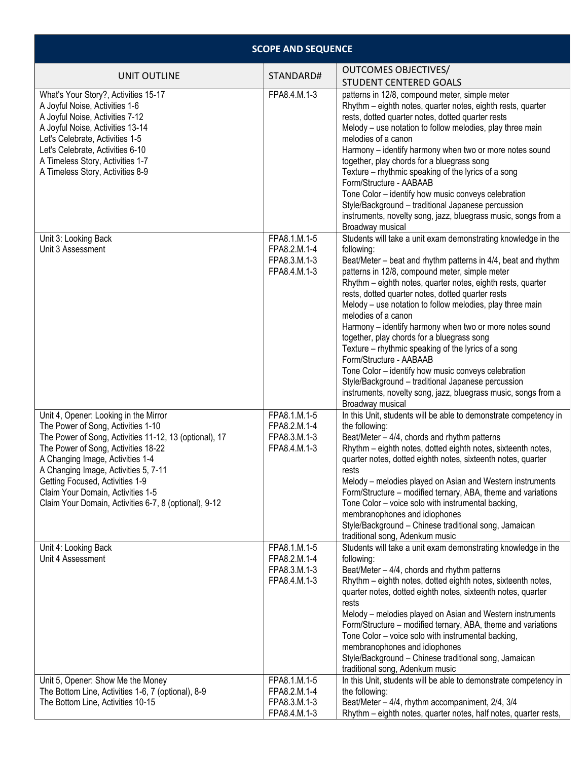| <b>SCOPE AND SEQUENCE</b>                                                                                                                                                                                                                                                                                                                                                                 |                                                              |                                                                                                                                                                                                                                                                                                                                                                                                                                                                                                                                                                                                                                                                                                                                                                                                      |
|-------------------------------------------------------------------------------------------------------------------------------------------------------------------------------------------------------------------------------------------------------------------------------------------------------------------------------------------------------------------------------------------|--------------------------------------------------------------|------------------------------------------------------------------------------------------------------------------------------------------------------------------------------------------------------------------------------------------------------------------------------------------------------------------------------------------------------------------------------------------------------------------------------------------------------------------------------------------------------------------------------------------------------------------------------------------------------------------------------------------------------------------------------------------------------------------------------------------------------------------------------------------------------|
| <b>UNIT OUTLINE</b>                                                                                                                                                                                                                                                                                                                                                                       | STANDARD#                                                    | <b>OUTCOMES OBJECTIVES/</b><br><b>STUDENT CENTERED GOALS</b>                                                                                                                                                                                                                                                                                                                                                                                                                                                                                                                                                                                                                                                                                                                                         |
| What's Your Story?, Activities 15-17<br>A Joyful Noise, Activities 1-6<br>A Joyful Noise, Activities 7-12<br>A Joyful Noise, Activities 13-14<br>Let's Celebrate, Activities 1-5<br>Let's Celebrate, Activities 6-10<br>A Timeless Story, Activities 1-7<br>A Timeless Story, Activities 8-9                                                                                              | FPA8.4.M.1-3                                                 | patterns in 12/8, compound meter, simple meter<br>Rhythm - eighth notes, quarter notes, eighth rests, quarter<br>rests, dotted quarter notes, dotted quarter rests<br>Melody - use notation to follow melodies, play three main<br>melodies of a canon<br>Harmony - identify harmony when two or more notes sound<br>together, play chords for a bluegrass song<br>Texture - rhythmic speaking of the lyrics of a song<br>Form/Structure - AABAAB<br>Tone Color - identify how music conveys celebration<br>Style/Background - traditional Japanese percussion<br>instruments, novelty song, jazz, bluegrass music, songs from a<br>Broadway musical                                                                                                                                                 |
| Unit 3: Looking Back<br>Unit 3 Assessment                                                                                                                                                                                                                                                                                                                                                 | FPA8.1.M.1-5<br>FPA8.2.M.1-4<br>FPA8.3.M.1-3<br>FPA8.4.M.1-3 | Students will take a unit exam demonstrating knowledge in the<br>following:<br>Beat/Meter - beat and rhythm patterns in 4/4, beat and rhythm<br>patterns in 12/8, compound meter, simple meter<br>Rhythm - eighth notes, quarter notes, eighth rests, quarter<br>rests, dotted quarter notes, dotted quarter rests<br>Melody - use notation to follow melodies, play three main<br>melodies of a canon<br>Harmony - identify harmony when two or more notes sound<br>together, play chords for a bluegrass song<br>Texture - rhythmic speaking of the lyrics of a song<br>Form/Structure - AABAAB<br>Tone Color - identify how music conveys celebration<br>Style/Background - traditional Japanese percussion<br>instruments, novelty song, jazz, bluegrass music, songs from a<br>Broadway musical |
| Unit 4, Opener: Looking in the Mirror<br>The Power of Song, Activities 1-10<br>The Power of Song, Activities 11-12, 13 (optional), 17<br>The Power of Song, Activities 18-22<br>A Changing Image, Activities 1-4<br>A Changing Image, Activities 5, 7-11<br>Getting Focused, Activities 1-9<br>Claim Your Domain, Activities 1-5<br>Claim Your Domain, Activities 6-7, 8 (optional), 9-12 | FPA8.1.M.1-5<br>FPA8.2.M.1-4<br>FPA8.3.M.1-3<br>FPA8.4.M.1-3 | In this Unit, students will be able to demonstrate competency in<br>the following:<br>Beat/Meter - 4/4, chords and rhythm patterns<br>Rhythm - eighth notes, dotted eighth notes, sixteenth notes,<br>quarter notes, dotted eighth notes, sixteenth notes, quarter<br>rests<br>Melody - melodies played on Asian and Western instruments<br>Form/Structure - modified ternary, ABA, theme and variations<br>Tone Color – voice solo with instrumental backing,<br>membranophones and idiophones<br>Style/Background - Chinese traditional song, Jamaican<br>traditional song, Adenkum music                                                                                                                                                                                                          |
| Unit 4: Looking Back<br>Unit 4 Assessment                                                                                                                                                                                                                                                                                                                                                 | FPA8.1.M.1-5<br>FPA8.2.M.1-4<br>FPA8.3.M.1-3<br>FPA8.4.M.1-3 | Students will take a unit exam demonstrating knowledge in the<br>following:<br>Beat/Meter - 4/4, chords and rhythm patterns<br>Rhythm - eighth notes, dotted eighth notes, sixteenth notes,<br>quarter notes, dotted eighth notes, sixteenth notes, quarter<br>rests<br>Melody - melodies played on Asian and Western instruments<br>Form/Structure – modified ternary, ABA, theme and variations<br>Tone Color - voice solo with instrumental backing,<br>membranophones and idiophones<br>Style/Background - Chinese traditional song, Jamaican<br>traditional song, Adenkum music                                                                                                                                                                                                                 |
| Unit 5, Opener: Show Me the Money<br>The Bottom Line, Activities 1-6, 7 (optional), 8-9<br>The Bottom Line, Activities 10-15                                                                                                                                                                                                                                                              | FPA8.1.M.1-5<br>FPA8.2.M.1-4<br>FPA8.3.M.1-3<br>FPA8.4.M.1-3 | In this Unit, students will be able to demonstrate competency in<br>the following:<br>Beat/Meter - 4/4, rhythm accompaniment, 2/4, 3/4<br>Rhythm – eighth notes, quarter notes, half notes, quarter rests,                                                                                                                                                                                                                                                                                                                                                                                                                                                                                                                                                                                           |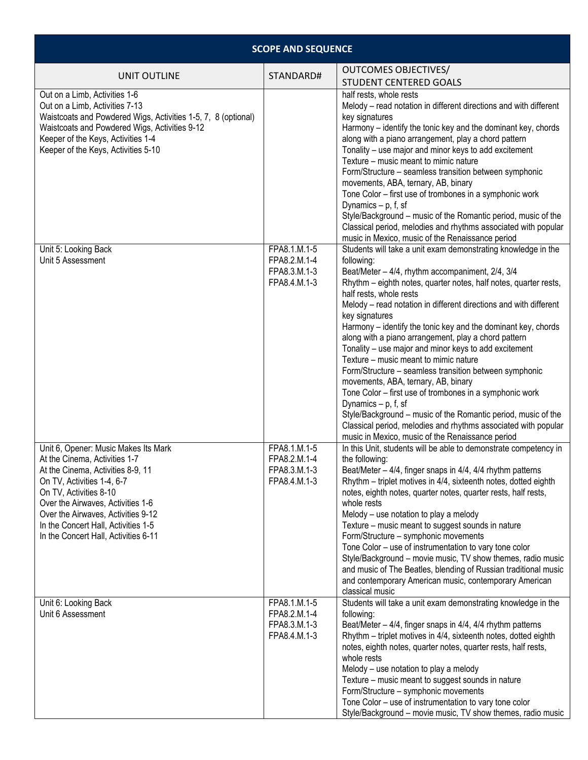| <b>SCOPE AND SEQUENCE</b>                                                                                                                                                                                                                                                                                                    |                                                              |                                                                                                                                                                                                                                                                                                                                                                                                                                                                                                                                                                                                                                                                                                                                                                                                                                                                                                                               |
|------------------------------------------------------------------------------------------------------------------------------------------------------------------------------------------------------------------------------------------------------------------------------------------------------------------------------|--------------------------------------------------------------|-------------------------------------------------------------------------------------------------------------------------------------------------------------------------------------------------------------------------------------------------------------------------------------------------------------------------------------------------------------------------------------------------------------------------------------------------------------------------------------------------------------------------------------------------------------------------------------------------------------------------------------------------------------------------------------------------------------------------------------------------------------------------------------------------------------------------------------------------------------------------------------------------------------------------------|
| <b>UNIT OUTLINE</b>                                                                                                                                                                                                                                                                                                          | STANDARD#                                                    | <b>OUTCOMES OBJECTIVES/</b><br><b>STUDENT CENTERED GOALS</b>                                                                                                                                                                                                                                                                                                                                                                                                                                                                                                                                                                                                                                                                                                                                                                                                                                                                  |
| Out on a Limb, Activities 1-6<br>Out on a Limb, Activities 7-13<br>Waistcoats and Powdered Wigs, Activities 1-5, 7, 8 (optional)<br>Waistcoats and Powdered Wigs, Activities 9-12<br>Keeper of the Keys, Activities 1-4<br>Keeper of the Keys, Activities 5-10                                                               |                                                              | half rests, whole rests<br>Melody – read notation in different directions and with different<br>key signatures<br>Harmony - identify the tonic key and the dominant key, chords<br>along with a piano arrangement, play a chord pattern<br>Tonality – use major and minor keys to add excitement<br>Texture – music meant to mimic nature<br>Form/Structure - seamless transition between symphonic<br>movements, ABA, ternary, AB, binary<br>Tone Color - first use of trombones in a symphonic work<br>Dynamics $- p$ , f, sf<br>Style/Background - music of the Romantic period, music of the<br>Classical period, melodies and rhythms associated with popular<br>music in Mexico, music of the Renaissance period                                                                                                                                                                                                        |
| Unit 5: Looking Back<br>Unit 5 Assessment                                                                                                                                                                                                                                                                                    | FPA8.1.M.1-5<br>FPA8.2.M.1-4<br>FPA8.3.M.1-3<br>FPA8.4.M.1-3 | Students will take a unit exam demonstrating knowledge in the<br>following:<br>Beat/Meter - 4/4, rhythm accompaniment, 2/4, 3/4<br>Rhythm - eighth notes, quarter notes, half notes, quarter rests,<br>half rests, whole rests<br>Melody - read notation in different directions and with different<br>key signatures<br>Harmony - identify the tonic key and the dominant key, chords<br>along with a piano arrangement, play a chord pattern<br>Tonality – use major and minor keys to add excitement<br>Texture – music meant to mimic nature<br>Form/Structure – seamless transition between symphonic<br>movements, ABA, ternary, AB, binary<br>Tone Color - first use of trombones in a symphonic work<br>Dynamics $- p$ , f, sf<br>Style/Background - music of the Romantic period, music of the<br>Classical period, melodies and rhythms associated with popular<br>music in Mexico, music of the Renaissance period |
| Unit 6, Opener: Music Makes Its Mark<br>At the Cinema, Activities 1-7<br>At the Cinema, Activities 8-9, 11<br>On TV, Activities 1-4, 6-7<br>On TV, Activities 8-10<br>Over the Airwaves, Activities 1-6<br>Over the Airwaves, Activities 9-12<br>In the Concert Hall, Activities 1-5<br>In the Concert Hall, Activities 6-11 | FPA8.1.M.1-5<br>FPA8.2.M.1-4<br>FPA8.3.M.1-3<br>FPA8.4.M.1-3 | In this Unit, students will be able to demonstrate competency in<br>the following:<br>Beat/Meter - 4/4, finger snaps in 4/4, 4/4 rhythm patterns<br>Rhythm - triplet motives in 4/4, sixteenth notes, dotted eighth<br>notes, eighth notes, quarter notes, quarter rests, half rests,<br>whole rests<br>Melody - use notation to play a melody<br>Texture – music meant to suggest sounds in nature<br>Form/Structure - symphonic movements<br>Tone Color – use of instrumentation to vary tone color<br>Style/Background - movie music, TV show themes, radio music<br>and music of The Beatles, blending of Russian traditional music<br>and contemporary American music, contemporary American<br>classical music                                                                                                                                                                                                          |
| Unit 6: Looking Back<br>Unit 6 Assessment                                                                                                                                                                                                                                                                                    | FPA8.1.M.1-5<br>FPA8.2.M.1-4<br>FPA8.3.M.1-3<br>FPA8.4.M.1-3 | Students will take a unit exam demonstrating knowledge in the<br>following:<br>Beat/Meter - 4/4, finger snaps in 4/4, 4/4 rhythm patterns<br>Rhythm - triplet motives in 4/4, sixteenth notes, dotted eighth<br>notes, eighth notes, quarter notes, quarter rests, half rests,<br>whole rests<br>Melody - use notation to play a melody<br>Texture – music meant to suggest sounds in nature<br>Form/Structure - symphonic movements<br>Tone Color – use of instrumentation to vary tone color<br>Style/Background - movie music, TV show themes, radio music                                                                                                                                                                                                                                                                                                                                                                 |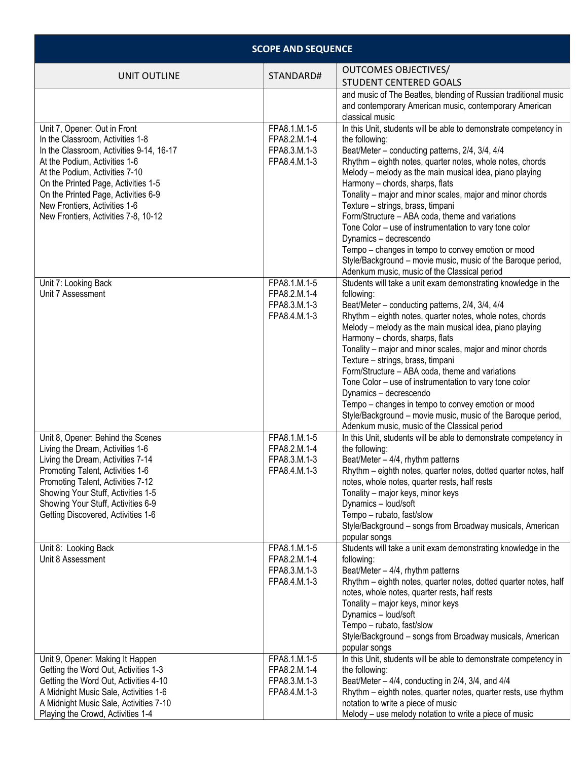| <b>SCOPE AND SEQUENCE</b>                                                                                                                                                                                                                                                                                                              |                                                              |                                                                                                                                                                                                                                                                                                                                                                                                                                                                                                                                                                                                                                                                                                                 |
|----------------------------------------------------------------------------------------------------------------------------------------------------------------------------------------------------------------------------------------------------------------------------------------------------------------------------------------|--------------------------------------------------------------|-----------------------------------------------------------------------------------------------------------------------------------------------------------------------------------------------------------------------------------------------------------------------------------------------------------------------------------------------------------------------------------------------------------------------------------------------------------------------------------------------------------------------------------------------------------------------------------------------------------------------------------------------------------------------------------------------------------------|
| <b>UNIT OUTLINE</b>                                                                                                                                                                                                                                                                                                                    | STANDARD#                                                    | <b>OUTCOMES OBJECTIVES/</b><br><b>STUDENT CENTERED GOALS</b>                                                                                                                                                                                                                                                                                                                                                                                                                                                                                                                                                                                                                                                    |
|                                                                                                                                                                                                                                                                                                                                        |                                                              | and music of The Beatles, blending of Russian traditional music<br>and contemporary American music, contemporary American<br>classical music                                                                                                                                                                                                                                                                                                                                                                                                                                                                                                                                                                    |
| Unit 7, Opener: Out in Front<br>In the Classroom, Activities 1-8<br>In the Classroom, Activities 9-14, 16-17<br>At the Podium, Activities 1-6<br>At the Podium, Activities 7-10<br>On the Printed Page, Activities 1-5<br>On the Printed Page, Activities 6-9<br>New Frontiers, Activities 1-6<br>New Frontiers, Activities 7-8, 10-12 | FPA8.1.M.1-5<br>FPA8.2.M.1-4<br>FPA8.3.M.1-3<br>FPA8.4.M.1-3 | In this Unit, students will be able to demonstrate competency in<br>the following:<br>Beat/Meter - conducting patterns, 2/4, 3/4, 4/4<br>Rhythm - eighth notes, quarter notes, whole notes, chords<br>Melody - melody as the main musical idea, piano playing<br>Harmony - chords, sharps, flats<br>Tonality - major and minor scales, major and minor chords<br>Texture - strings, brass, timpani<br>Form/Structure - ABA coda, theme and variations<br>Tone Color – use of instrumentation to vary tone color<br>Dynamics - decrescendo<br>Tempo - changes in tempo to convey emotion or mood<br>Style/Background - movie music, music of the Baroque period,<br>Adenkum music, music of the Classical period |
| Unit 7: Looking Back<br>Unit 7 Assessment                                                                                                                                                                                                                                                                                              | FPA8.1.M.1-5<br>FPA8.2.M.1-4<br>FPA8.3.M.1-3<br>FPA8.4.M.1-3 | Students will take a unit exam demonstrating knowledge in the<br>following:<br>Beat/Meter - conducting patterns, 2/4, 3/4, 4/4<br>Rhythm - eighth notes, quarter notes, whole notes, chords<br>Melody - melody as the main musical idea, piano playing<br>Harmony - chords, sharps, flats<br>Tonality - major and minor scales, major and minor chords<br>Texture - strings, brass, timpani<br>Form/Structure - ABA coda, theme and variations<br>Tone Color – use of instrumentation to vary tone color<br>Dynamics - decrescendo<br>Tempo - changes in tempo to convey emotion or mood<br>Style/Background - movie music, music of the Baroque period,<br>Adenkum music, music of the Classical period        |
| Unit 8, Opener: Behind the Scenes<br>Living the Dream, Activities 1-6<br>Living the Dream, Activities 7-14<br>Promoting Talent, Activities 1-6<br>Promoting Talent, Activities 7-12<br>Showing Your Stuff, Activities 1-5<br>Showing Your Stuff, Activities 6-9<br>Getting Discovered, Activities 1-6                                  | FPA8.1.M.1-5<br>FPA8.2.M.1-4<br>FPA8.3.M.1-3<br>FPA8.4.M.1-3 | In this Unit, students will be able to demonstrate competency in<br>the following:<br>Beat/Meter - 4/4, rhythm patterns<br>Rhythm - eighth notes, quarter notes, dotted quarter notes, half<br>notes, whole notes, quarter rests, half rests<br>Tonality - major keys, minor keys<br>Dynamics - loud/soft<br>Tempo - rubato, fast/slow<br>Style/Background - songs from Broadway musicals, American<br>popular songs                                                                                                                                                                                                                                                                                            |
| Unit 8: Looking Back<br>Unit 8 Assessment                                                                                                                                                                                                                                                                                              | FPA8.1.M.1-5<br>FPA8.2.M.1-4<br>FPA8.3.M.1-3<br>FPA8.4.M.1-3 | Students will take a unit exam demonstrating knowledge in the<br>following:<br>Beat/Meter $-4/4$ , rhythm patterns<br>Rhythm - eighth notes, quarter notes, dotted quarter notes, half<br>notes, whole notes, quarter rests, half rests<br>Tonality - major keys, minor keys<br>Dynamics - loud/soft<br>Tempo - rubato, fast/slow<br>Style/Background - songs from Broadway musicals, American<br>popular songs                                                                                                                                                                                                                                                                                                 |
| Unit 9, Opener: Making It Happen<br>Getting the Word Out, Activities 1-3<br>Getting the Word Out, Activities 4-10<br>A Midnight Music Sale, Activities 1-6<br>A Midnight Music Sale, Activities 7-10<br>Playing the Crowd, Activities 1-4                                                                                              | FPA8.1.M.1-5<br>FPA8.2.M.1-4<br>FPA8.3.M.1-3<br>FPA8.4.M.1-3 | In this Unit, students will be able to demonstrate competency in<br>the following:<br>Beat/Meter - 4/4, conducting in 2/4, 3/4, and 4/4<br>Rhythm - eighth notes, quarter notes, quarter rests, use rhythm<br>notation to write a piece of music<br>Melody - use melody notation to write a piece of music                                                                                                                                                                                                                                                                                                                                                                                                      |